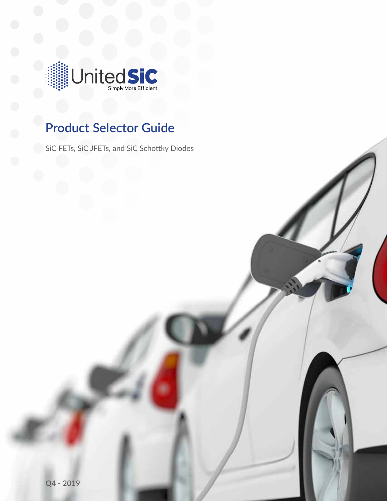

## **Product Selector Guide**

SiC FETs, SiC JFETs, and SiC Schottky Diodes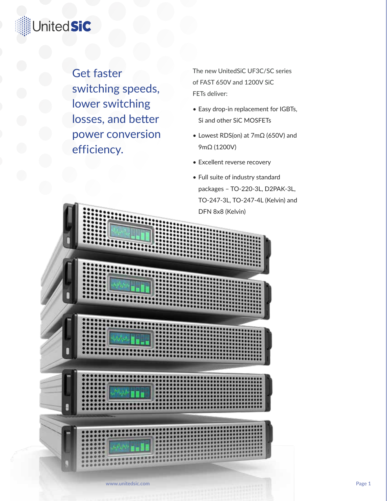## **JnitedSiC**

Get faster switching speeds, lower switching losses, and better power conversion efficiency.

The new UnitedSiC UF3C/SC series of FAST 650V and 1200V SiC FETs deliver:

- Easy drop-in replacement for IGBTs, Si and other SiC MOSFETs
- Lowest RDS(on) at 7mΩ (650V) and 9mΩ (1200V)
- Excellent reverse recovery
- Full suite of industry standard packages – TO-220-3L, D2PAK-3L, TO-247-3L, TO-247-4L (Kelvin) and DFN 8x8 (Kelvin)

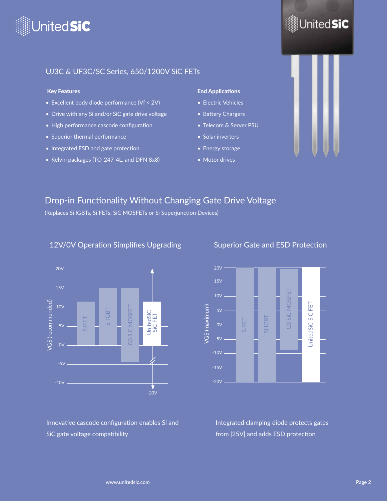

## United**SiC**

#### UJ3C & UF3C/SC Series, 650/1200V SiC FETs

#### Key Features

- Excellent body diode performance (Vf < 2V)
- Drive with any Si and/or SiC gate drive voltage
- High performance cascode configuration
- Superior thermal performance
- Integrated ESD and gate protection
- Kelvin packages (TO-247-4L, and DFN 8x8)

#### End Applications

- Electric Vehicles
- Battery Chargers
- Telecom & Server PSU
- Solar inverters
- Energy storage
- Motor drives



#### Drop-in Functionality Without Changing Gate Drive Voltage

(Replaces Si IGBTs, Si FETs, SiC MOSFETs or Si Superjunction Devices)

#### 12V/0V Operation Simplifies Upgrading



Superior Gate and ESD Protection



Innovative cascode configuration enables Si and

Integrated clamping diode protects gates from |25V| and adds ESD protection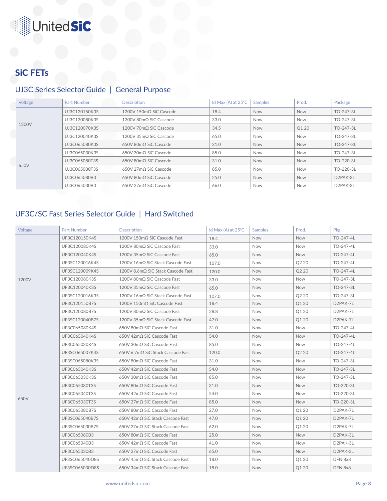# **JnitedSiC**

### SiC FETs

#### UJ3C Series Selector Guide | General Purpose

|  | Voltage | <b>Part Number</b> | <b>Description</b>              | Id Max $(A)$ at $25^{\circ}$ C | <b>Samples</b> | Prod.      | Package               |
|--|---------|--------------------|---------------------------------|--------------------------------|----------------|------------|-----------------------|
|  | 1200V   | UJ3C120150K3S      | 1200V 150mΩ SiC Cascode         | 18.4                           | <b>Now</b>     | <b>Now</b> | TO-247-3L             |
|  |         | UJ3C120080K3S      | 1200V 80mQ SiC Cascode          | 33.0                           | <b>Now</b>     | Now        | TO-247-3L             |
|  |         | UJ3C120070K3S      | 1200V 70mQ SiC Cascode          | 34.5                           | <b>Now</b>     | Q1 20      | TO-247-3L             |
|  |         | UJ3C120040K3S      | 1200V 35mQ SiC Cascode          | 65.0                           | <b>Now</b>     | Now        | TO-247-3L             |
|  |         | UJ3C065080K3S      | 650V 80mQ SiC Cascode           | 31.0                           | <b>Now</b>     | <b>Now</b> | TO-247-3L             |
|  |         | UJ3C065030K3S      | 650V 30mQ SiC Cascode           | 85.0                           | <b>Now</b>     | Now        | TO-247-3L             |
|  | 650V    | UJ3C065080T3S      | 650V 80mQ SiC Cascode           | 31.0                           | <b>Now</b>     | Now        | TO-220-3L             |
|  |         | UJ3C065030T3S      | 650V 27mQ SiC Cascode           | 85.0                           | <b>Now</b>     | <b>Now</b> | TO-220-3L             |
|  |         | UJ3C065080B3       | 650V 80mQ SiC Cascode           | 25.0                           | <b>Now</b>     | <b>Now</b> | D <sub>2</sub> PAK-3L |
|  |         | UJ3C065030B3       | $650V$ 27m $\Omega$ SiC Cascode | 66.0                           | <b>Now</b>     | Now        | D2PAK-3L              |

#### UF3C/SC Fast Series Selector Guide | Hard Switched

| Voltage | <b>Part Number</b> | <b>Description</b>                   | Id Max (A) at 25°C | <b>Samples</b> | Prod.             | Pkg.      |
|---------|--------------------|--------------------------------------|--------------------|----------------|-------------------|-----------|
|         | UF3C120150K4S      | 1200V 150mΩ SiC Cascode Fast         | 18.4               | Now            | <b>Now</b>        | TO-247-4L |
|         | UF3C120080K4S      | 1200V 80mΩ SiC Cascode Fast          | 33.0               | <b>Now</b>     | <b>Now</b>        | TO-247-4L |
|         | UF3C120040K4S      | 1200V 35mQ SiC Cascode Fast          | 65.0               | Now            | <b>Now</b>        | TO-247-4L |
|         | UF3SC120016K4S     | 1200V 16mΩ SiC Stack Cascode Fast    | 107.0              | <b>Now</b>     | Q2 20             | TO-247-4L |
|         | UF3SC120009K4S     | 1200V 8.6mΩ SiC Stack Cascode Fast   | 120.0              | <b>Now</b>     | Q <sub>2</sub> 20 | TO-247-4L |
| 1200V   | UF3C120080K3S      | 1200V 80mΩ SiC Cascode Fast          | 33.0               | <b>Now</b>     | <b>Now</b>        | TO-247-3L |
|         | UF3C120040K3S      | 1200V 35m $\Omega$ SiC Cascode Fast  | 65.0               | <b>Now</b>     | <b>Now</b>        | TO-247-3L |
|         | UF3SC120016K3S     | 1200V 16mQ SiC Stack Cascode Fast    | 107.0              | <b>Now</b>     | Q2 20             | TO-247-3L |
|         | UF3C120150B7S      | 1200V 150mΩ SiC Cascode Fast         | 18.4               | <b>Now</b>     | Q1 20             | D2PAK-7L  |
|         | UF3C120080B7S      | 1200V 80mΩ SiC Cascode Fast          | 28.8               | Now            | Q1 20             | D2PAK-7L  |
|         | UF3SC120040B7S     | 1200V 35mΩ SiC Stack Cascode Fast    | 47.0               | <b>Now</b>     | Q1 20             | D2PAK-7L  |
|         | UF3C065080K4S      | 650V 80mΩ SiC Cascode Fast           | 31.0               | <b>Now</b>     | <b>Now</b>        | TO-247-4L |
|         | UF3C065040K4S      | $650V$ 42m $\Omega$ SiC Cascode Fast | 54.0               | <b>Now</b>     | Now               | TO-247-4L |
|         | UF3C065030K4S      | 650V 30mΩ SiC Cascode Fast           | 85.0               | <b>Now</b>     | <b>Now</b>        | TO-247-4L |
|         | UF3SC065007K4S     | 650V 6.7mQ SiC Stack Cascode Fast    | 120.0              | <b>Now</b>     | Q <sub>2</sub> 20 | TO-247-4L |
|         | UF3SC065080K3S     | 650V 80mΩ SiC Cascode Fast           | 31.0               | <b>Now</b>     | <b>Now</b>        | TO-247-3L |
|         | UF3C065040K3S      | 650V 42mΩ SiC Cascode Fast           | 54.0               | <b>Now</b>     | <b>Now</b>        | TO-247-3L |
|         | UF3C065030K3S      | 650V 30mQ SiC Cascode Fast           | 85.0               | <b>Now</b>     | Now               | TO-247-3L |
|         | UF3C065080T3S      | 650V 80mΩ SiC Cascode Fast           | 31.0               | <b>Now</b>     | <b>Now</b>        | TO-220-3L |
|         | UF3C065040T3S      | 650V 42mQ SiC Cascode Fast           | 54.0               | <b>Now</b>     | <b>Now</b>        | TO-220-3L |
| 650V    | UF3C065030T3S      | 650V 27mΩ SiC Cascode Fast           | 85.0               | <b>Now</b>     | Now               | TO-220-3L |
|         | UF3C065080B7S      | 650V 80mQ SiC Cascode Fast           | 27.0               | <b>Now</b>     | Q1 20             | D2PAK-7L  |
|         | UF3SC065040B7S     | 650V 42mΩ SiC Stack Cascode Fast     | 47.0               | <b>Now</b>     | Q1 20             | D2PAK-7L  |
|         | UF3SC065030B7S     | 650V 27mQ SiC Stack Cascode Fast     | 62.0               | <b>Now</b>     | Q1 20             | D2PAK-7L  |
|         | UF3C065080B3       | 650V 80mΩ SiC Cascode Fast           | 25.0               | <b>Now</b>     | <b>Now</b>        | D2PAK-3L  |
|         | UF3C065040B3       | 650V 42mQ SiC Cascode Fast           | 41.0               | <b>Now</b>     | Now               | D2PAK-3L  |
|         | UF3C065030B3       | 650V 27mΩ SiC Cascode Fast           | 65.0               | <b>Now</b>     | <b>Now</b>        | D2PAK-3L  |
|         | UF3SC065040D8S     | 650V 45mΩ SiC Stack Cascode Fast     | 18.0               | <b>Now</b>     | Q1 20             | DFN 8x8   |
|         | UF3SC065030D8S     | 650V 34mΩ SiC Stack Cascode Fast     | 18.0               | <b>Now</b>     | <b>Q120</b>       | DFN 8x8   |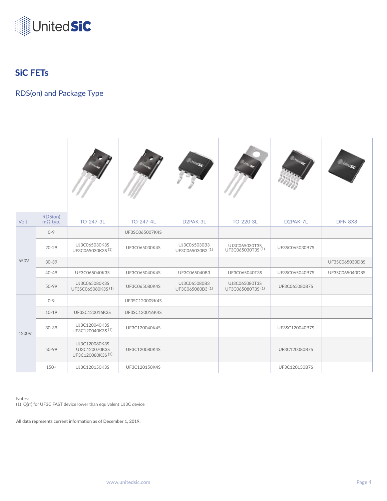

### SiC FETs

#### RDS(on) and Package Type

| Volt. | RDS(on)<br>$m\Omega$ typ. | TO-247-3L                                           | TO-247-4L      | D <sub>2</sub> PAK-3L                       | TO-220-3L                          | D <sub>2</sub> PAK-7L | DFN 8X8        |
|-------|---------------------------|-----------------------------------------------------|----------------|---------------------------------------------|------------------------------------|-----------------------|----------------|
|       | $0 - 9$                   |                                                     | UF3SC065007K4S |                                             |                                    |                       |                |
|       | $20 - 29$                 | UJ3C065030K3S<br>UF3C065030K3S <sup>(1)</sup>       | UF3C065030K4S  | UJ3C065030B3<br>UF3C065030B3 <sup>(1)</sup> | UJ3C065030T3S<br>UF3C065030T3S(1)  | UF3SC065030B7S        |                |
| 650V  | $30 - 39$                 |                                                     |                |                                             |                                    |                       | UF3SC065030D8S |
|       | 40-49                     | UF3C065040K3S                                       | UF3C065040K4S  | UF3C065040B3                                | UF3C065040T3S                      | UF3SC065040B7S        | UF3SC065040D8S |
|       | 50-99                     | UJ3C065080K3S<br>UF3SC065080K3S (1)                 | UF3C065080K4S  | UJ3C065080B3<br>UF3C065080B3 (1)            | UJ3C065080T3S<br>UF3C065080T3S (1) | UF3C065080B7S         |                |
|       | $0 - 9$                   |                                                     | UF3SC120009K4S |                                             |                                    |                       |                |
|       | $10-19$                   | UF3SC120016K3S                                      | UF3SC120016K4S |                                             |                                    |                       |                |
| 1200V | 30-39                     | UJ3C120040K3S<br>UF3C120040K3S (1)                  | UF3C120040K4S  |                                             |                                    | UF3SC120040B7S        |                |
|       | 50-99                     | UJ3C120080K3S<br>UJ3C120070K3S<br>UF3C120080K3S (1) | UF3C120080K4S  |                                             |                                    | UF3C120080B7S         |                |
|       | $150+$                    | UJ3C120150K3S                                       | UF3C120150K4S  |                                             |                                    | UF3C120150B7S         |                |

Notes: (1) Q(rr) for UF3C FAST device lower than equivalent UJ3C device

**All data represents current information as of December 1, 2019.**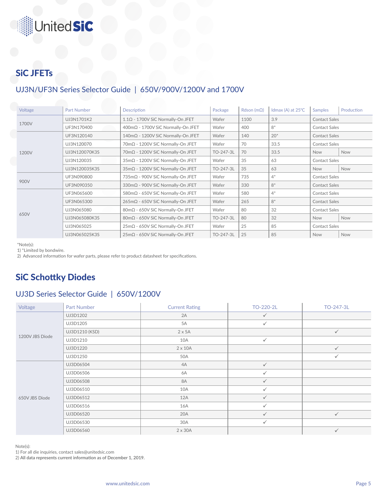# **JnitedSiC**

## SiC JFETs

### UJ3N/UF3N Series Selector Guide | 650V/900V/1200V and 1700V

| Voltage | <b>Part Number</b> | <b>Description</b>                       | Package   | Rdson ( $m\Omega$ ) | Idmax (A) at 25°C | Production<br><b>Samples</b> |     |
|---------|--------------------|------------------------------------------|-----------|---------------------|-------------------|------------------------------|-----|
|         | UJ3N1701K2         | $1.1\Omega$ - 1700V SiC Normally-On JFET | Wafer     | 1100                | 3.9               | <b>Contact Sales</b>         |     |
| 1700V   | UF3N170400         | 400mΩ - 1700V SiC Normally-On JFET       | Wafer     | 400                 | $8*$              | <b>Contact Sales</b>         |     |
|         | UF3N120140         | 140mΩ - 1200V SiC Normally-On JFET       | Wafer     | 140                 | $20*$             | <b>Contact Sales</b>         |     |
|         | UJ3N120070         | 70mΩ - 1200V SiC Normally-On JFET        | Wafer     | 70                  | 33.5              | <b>Contact Sales</b>         |     |
| 1200V   | UJ3N120070K3S      | 70mΩ - 1200V SiC Normally-On JFET        | TO-247-3L | 70                  | 33.5              | <b>Now</b>                   | Now |
|         | UJ3N120035         | 35mΩ - 1200V SiC Normally-On JFET        | Wafer     | 35                  | 63                | <b>Contact Sales</b>         |     |
|         | UJ3N120035K3S      | 35mΩ - 1200V SiC Normally-On JFET        | TO-247-3L | 35                  | 63                | <b>Now</b>                   | Now |
|         | UF3N090800         | 735mΩ - 900V SiC Normally-On JFET        | Wafer     | 735                 | $4^*$             | <b>Contact Sales</b>         |     |
| 900V    | UF3N090350         | 330mΩ - 900V SiC Normally-On JFET        | Wafer     | 330                 | $8*$              | <b>Contact Sales</b>         |     |
|         | UF3N065600         | 580mΩ - 650V SiC Normally-On JFET        | Wafer     | 580                 | $4^*$             | <b>Contact Sales</b>         |     |
|         | UF3N065300         | 265mΩ - 650V SiC Normally-On JFET        | Wafer     | 265                 | $8*$              | <b>Contact Sales</b>         |     |
|         | UJ3N065080         | 80mΩ - 650V SiC Normally-On JFET         | Wafer     | 80                  | 32                | <b>Contact Sales</b>         |     |
| 650V    | UJ3N065080K3S      | 80mΩ - 650V SiC Normally-On JFET         | TO-247-3L | 80                  | 32                | <b>Now</b>                   | Now |
|         | UJ3N065025         | 25mΩ - 650V SiC Normally-On JFET         | Wafer     | 25                  | 85                | <b>Contact Sales</b>         |     |
|         | UJ3N065025K3S      | 25mΩ - 650V SiC Normally-On JFET         | TO-247-3L | 25                  | 85                | Now                          | Now |

\*Note(s):

1) \*Limited by bondwire.

2) Advanced information for wafer parts, please refer to product datasheet for specifications.

### SiC Schottky Diodes

#### UJ3D Series Selector Guide | 650V/1200V

| Voltage         | Part Number    | <b>Current Rating</b> | TO-220-2L    | TO-247-3L    |
|-----------------|----------------|-----------------------|--------------|--------------|
|                 | UJ3D1202       | 2A                    | $\checkmark$ |              |
|                 | UJ3D1205       | 5A                    | $\checkmark$ |              |
|                 | UJ3D1210 (KSD) | $2 \times 5A$         |              | $\checkmark$ |
| 1200V JBS Diode | UJ3D1210       | 10A                   | $\checkmark$ |              |
|                 | UJ3D1220       | $2 \times 10A$        |              | $\checkmark$ |
|                 | UJ3D1250       | 50A                   |              | $\checkmark$ |
|                 | UJ3D06504      | 4A                    | $\checkmark$ |              |
|                 | UJ3D06506      | 6A                    | $\checkmark$ |              |
|                 | UJ3D06508      | <b>8A</b>             | $\checkmark$ |              |
|                 | UJ3D06510      | 10A                   | $\checkmark$ |              |
| 650V JBS Diode  | UJ3D06512      | 12A                   | $\checkmark$ |              |
|                 | UJ3D06516      | 16A                   | $\checkmark$ |              |
|                 | UJ3D06520      | 20A                   | $\checkmark$ | $\checkmark$ |
|                 | UJ3D06530      | 30A                   | $\checkmark$ |              |
|                 | UJ3D06560      | $2 \times 30A$        |              | $\checkmark$ |

Note(s):

1) For all die inquiries, contact sales@unitedsic.com

2) **All data represents current information as of December 1, 2019.**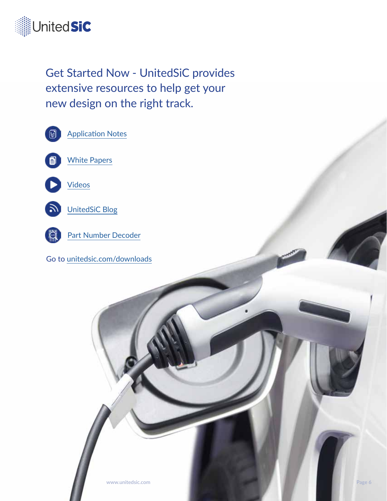

Get Started Now - UnitedSiC provides extensive resources to help get your new design on the right track.